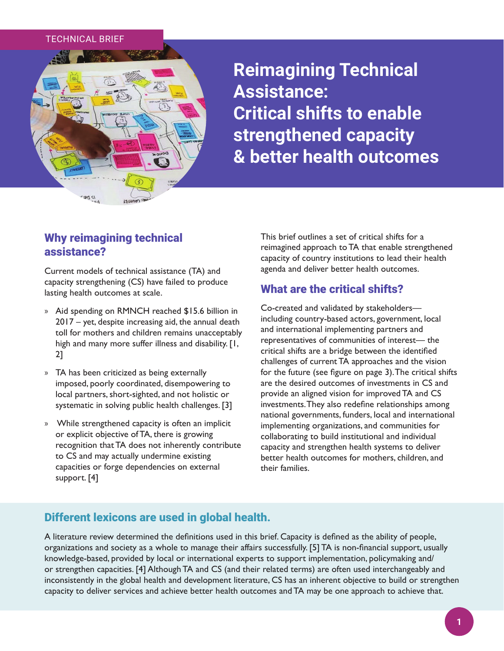#### TECHNICAL BRIEF



**Reimagining Technical Assistance: Critical shifts to enable strengthened capacity & better health outcomes**

# Why reimagining technical assistance?

Current models of technical assistance (TA) and capacity strengthening (CS) have failed to produce lasting health outcomes at scale.

- » Aid spending on RMNCH reached \$15.6 billion in 2017 – yet, despite increasing aid, the annual death toll for mothers and children remains unacceptably high and many more suffer illness and disability. [1, 2]
- » TA has been criticized as being externally imposed, poorly coordinated, disempowering to local partners, short-sighted, and not holistic or systematic in solving public health challenges. [3]
- » While strengthened capacity is often an implicit or explicit objective of TA, there is growing recognition that TA does not inherently contribute to CS and may actually undermine existing capacities or forge dependencies on external support. [4]

This brief outlines a set of critical shifts for a reimagined approach to TA that enable strengthened capacity of country institutions to lead their health agenda and deliver better health outcomes.

## What are the critical shifts?

Co-created and validated by stakeholders including country-based actors, government, local and international implementing partners and representatives of communities of interest— the critical shifts are a bridge between the identified challenges of current TA approaches and the vision for the future (see figure on page 3). The critical shifts are the desired outcomes of investments in CS and provide an aligned vision for improved TA and CS investments. They also redefine relationships among national governments, funders, local and international implementing organizations, and communities for collaborating to build institutional and individual capacity and strengthen health systems to deliver better health outcomes for mothers, children, and their families.

## Different lexicons are used in global health.

A literature review determined the definitions used in this brief. Capacity is defined as the ability of people, organizations and society as a whole to manage their affairs successfully. [5] TA is non-financial support, usually knowledge-based, provided by local or international experts to support implementation, policymaking and/ or strengthen capacities. [4] Although TA and CS (and their related terms) are often used interchangeably and inconsistently in the global health and development literature, CS has an inherent objective to build or strengthen capacity to deliver services and achieve better health outcomes and TA may be one approach to achieve that.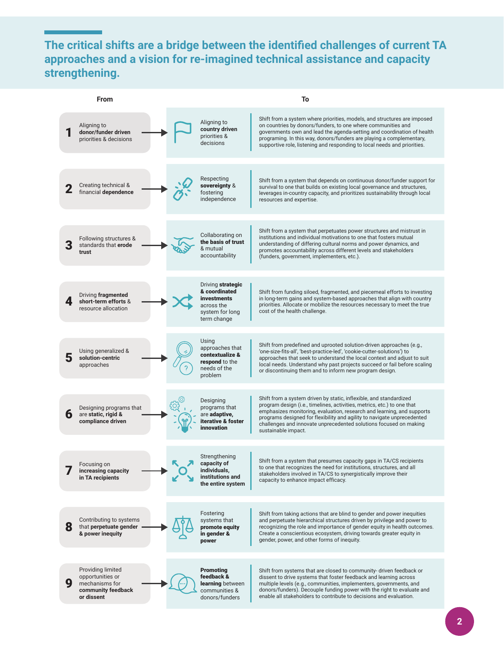# **The critical shifts are a bridge between the identified challenges of current TA approaches and a vision for re-imagined technical assistance and capacity strengthening.**

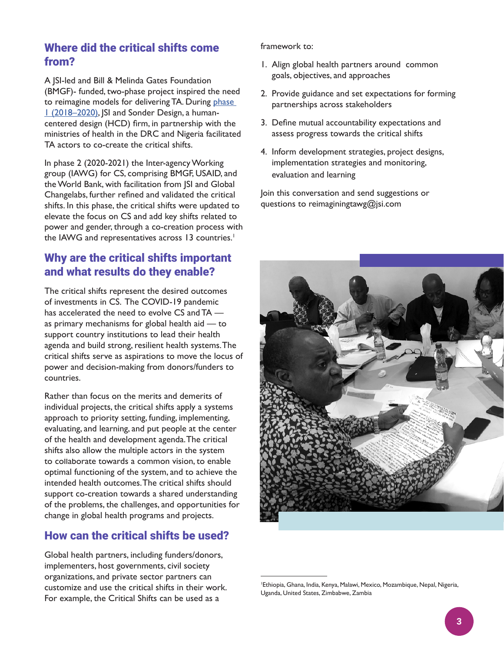# Where did the critical shifts come from?

A JSI-led and Bill & Melinda Gates Foundation (BMGF)- funded, two-phase project inspired the need to reimagine models for delivering TA. During phase 1 (2018–2020), JSI and Sonder Design, a humancentered design (HCD) firm, in partnership with the ministries of health in the DRC and Nigeria facilitated TA actors to co-create the critical shifts.

In phase 2 (2020-2021) the Inter-agency Working group (IAWG) for CS, comprising BMGF, USAID, and the World Bank, with facilitation from JSI and Global Changelabs, further refined and validated the critical shifts. In this phase, the critical shifts were updated to elevate the focus on CS and add key shifts related to power and gender, through a co-creation process with the IAWG and representatives across 13 countries.<sup>1</sup>

## Why are the critical shifts important and what results do they enable?

The critical shifts represent the desired outcomes of investments in CS. The COVID-19 pandemic has accelerated the need to evolve CS and TA as primary mechanisms for global health aid — to support country institutions to lead their health agenda and build strong, resilient health systems. The critical shifts serve as aspirations to move the locus of power and decision-making from donors/funders to countries.

Rather than focus on the merits and demerits of individual projects, the critical shifts apply a systems approach to priority setting, funding, implementing, evaluating, and learning, and put people at the center of the health and development agenda. The critical shifts also allow the multiple actors in the system to collaborate towards a common vision, to enable optimal functioning of the system, and to achieve the intended health outcomes. The critical shifts should support co-creation towards a shared understanding of the problems, the challenges, and opportunities for change in global health programs and projects.

# How can the critical shifts be used?

Global health partners, including funders/donors, implementers, host governments, civil society organizations, and private sector partners can customize and use the critical shifts in their work. For example, the Critical Shifts can be used as a

framework to:

- 1. Align global health partners around common goals, objectives, and approaches
- 2. Provide guidance and set expectations for forming partnerships across stakeholders
- 3. Define mutual accountability expectations and assess progress towards the critical shifts
- 4. Inform development strategies, project designs, implementation strategies and monitoring, evaluation and learning

Join this conversation and send suggestions or questions to reimaginingtawg@jsi.com



<sup>1</sup> Ethiopia, Ghana, India, Kenya, Malawi, Mexico, Mozambique, Nepal, Nigeria, Uganda, United States, Zimbabwe, Zambia